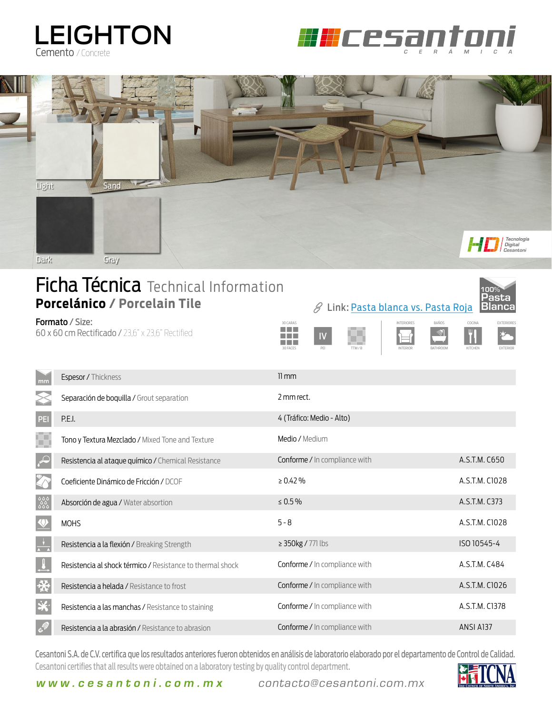## LEIGHTON Cemento / Concrete





## **Ficha Técnica** Technical Information **Porcelánico / Porcelain Tile**

60 x 60 cm Rectificado / 23,6" x 23,6" Rectified



| mm                   | Espesor / Thickness                                        | $11 \, \text{mm}$                    |                |
|----------------------|------------------------------------------------------------|--------------------------------------|----------------|
|                      | Separación de boquilla / Grout separation                  | 2 mm rect.                           |                |
| PEI                  | P.E.I.                                                     | 4 (Tráfico: Medio - Alto)            |                |
| ۳                    | Tono y Textura Mezclado / Mixed Tone and Texture           | Medio / Medium                       |                |
| $\curvearrowleft$    | Resistencia al ataque químico / Chemical Resistance        | Conforme / In compliance with        | A.S.T.M. C650  |
|                      | Coeficiente Dinámico de Fricción / DCOF                    | $\geq 0.42\%$                        | A.S.T.M. C1028 |
| ಿಂದಿ<br>೧೯೯೯         | Absorción de agua / Water absortion                        | $\leq 0.5\%$                         | A.S.T.M. C373  |
| $\vee$               | <b>MOHS</b>                                                | $5 - 8$                              | A.S.T.M. C1028 |
| $\frac{1}{\sqrt{2}}$ | Resistencia a la flexión / Breaking Strength               | $\geq$ 350kg / 771 lbs               | ISO 10545-4    |
| $\frac{1}{\sqrt{2}}$ | Resistencia al shock térmico / Resistance to thermal shock | Conforme / In compliance with        | A.S.T.M. C484  |
| 桊                    | Resistencia a helada / Resistance to frost                 | <b>Conforme</b> / In compliance with | A.S.T.M. C1026 |
| ※                    | Resistencia a las manchas / Resistance to staining         | Conforme / In compliance with        | A.S.T.M. C1378 |
| a Sa                 | Resistencia a la abrasión / Resistance to abrasion         | <b>Conforme / In compliance with</b> | ANSI A137      |

Cesantoni S.A. de C.V. certifica que los resultados anteriores fueron obtenidos en análisis de laboratorio elaborado por el departamento de Control de Calidad. Cesantoni certifies that all results were obtained on a laboratory testing by quality control department.



**Pasta**

**100%**

**www.cesantoni.com.mx** contacto@cesantoni.com.mx